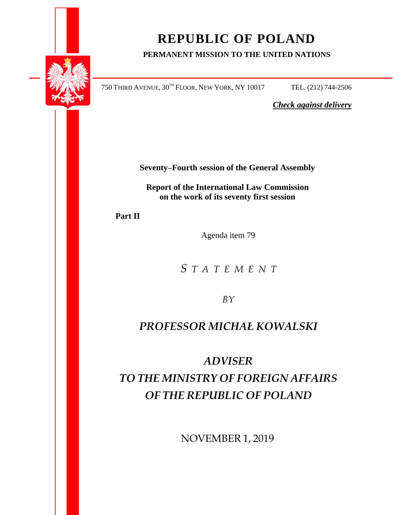

# **REPUBLIC OF POLAND**

### **PERMANENT MISSION TO THE UNITED NATIONS**

750 THIRD AVENUE, 30TH FLOOR, NEW YORK, NY 10017 TEL. (212) 744-2506

*Check against delivery*

**Seventy–Fourth session of the General Assembly**

**Report of the International Law Commission on the work of its seventy first session** 

**Part II**

Agenda item 79

*S T A T E M E N T*

*BY*

### *PROFESSOR MICHAŁ KOWALSKI*

## *ADVISER TO THE MINISTRY OF FOREIGN AFFAIRS OF THE REPUBLIC OF POLAND*

NOVEMBER 1, 2019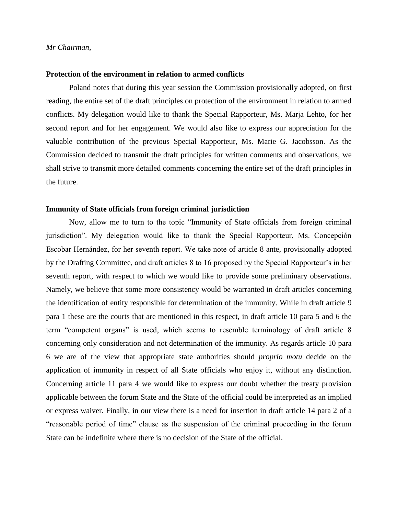#### **Protection of the environment in relation to armed conflicts**

Poland notes that during this year session the Commission provisionally adopted, on first reading, the entire set of the draft principles on protection of the environment in relation to armed conflicts. My delegation would like to thank the Special Rapporteur, Ms. Marja Lehto, for her second report and for her engagement. We would also like to express our appreciation for the valuable contribution of the previous Special Rapporteur, Ms. Marie G. Jacobsson. As the Commission decided to transmit the draft principles for written comments and observations, we shall strive to transmit more detailed comments concerning the entire set of the draft principles in the future.

#### **Immunity of State officials from foreign criminal jurisdiction**

Now, allow me to turn to the topic "Immunity of State officials from foreign criminal jurisdiction". My delegation would like to thank the Special Rapporteur, Ms. Concepción Escobar Hernández, for her seventh report. We take note of article 8 ante, provisionally adopted by the Drafting Committee, and draft articles 8 to 16 proposed by the Special Rapporteur's in her seventh report, with respect to which we would like to provide some preliminary observations. Namely, we believe that some more consistency would be warranted in draft articles concerning the identification of entity responsible for determination of the immunity. While in draft article 9 para 1 these are the courts that are mentioned in this respect, in draft article 10 para 5 and 6 the term "competent organs" is used, which seems to resemble terminology of draft article 8 concerning only consideration and not determination of the immunity. As regards article 10 para 6 we are of the view that appropriate state authorities should *proprio motu* decide on the application of immunity in respect of all State officials who enjoy it, without any distinction. Concerning article 11 para 4 we would like to express our doubt whether the treaty provision applicable between the forum State and the State of the official could be interpreted as an implied or express waiver. Finally, in our view there is a need for insertion in draft article 14 para 2 of a "reasonable period of time" clause as the suspension of the criminal proceeding in the forum State can be indefinite where there is no decision of the State of the official.